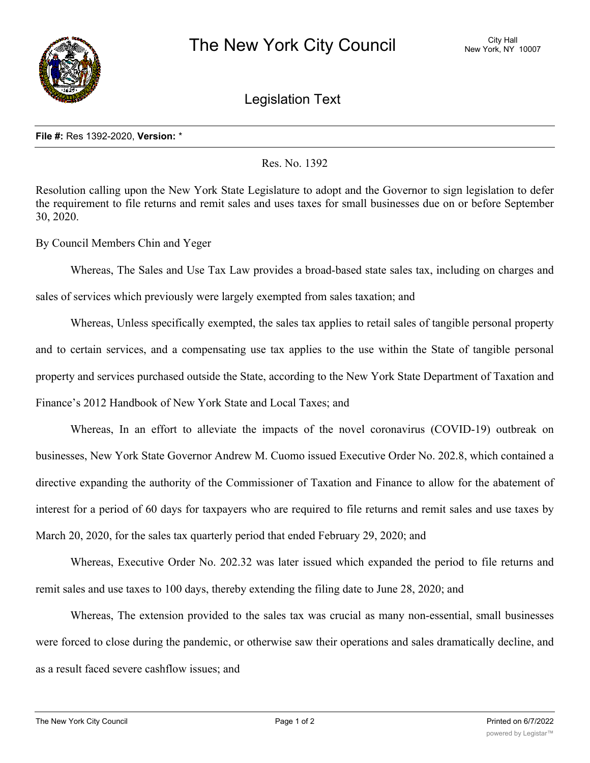

Legislation Text

## **File #:** Res 1392-2020, **Version:** \*

Res. No. 1392

Resolution calling upon the New York State Legislature to adopt and the Governor to sign legislation to defer the requirement to file returns and remit sales and uses taxes for small businesses due on or before September 30, 2020.

By Council Members Chin and Yeger

Whereas, The Sales and Use Tax Law provides a broad-based state sales tax, including on charges and sales of services which previously were largely exempted from sales taxation; and

Whereas, Unless specifically exempted, the sales tax applies to retail sales of tangible personal property and to certain services, and a compensating use tax applies to the use within the State of tangible personal property and services purchased outside the State, according to the New York State Department of Taxation and Finance's 2012 Handbook of New York State and Local Taxes; and

Whereas, In an effort to alleviate the impacts of the novel coronavirus (COVID-19) outbreak on businesses, New York State Governor Andrew M. Cuomo issued Executive Order No. 202.8, which contained a directive expanding the authority of the Commissioner of Taxation and Finance to allow for the abatement of interest for a period of 60 days for taxpayers who are required to file returns and remit sales and use taxes by March 20, 2020, for the sales tax quarterly period that ended February 29, 2020; and

Whereas, Executive Order No. 202.32 was later issued which expanded the period to file returns and remit sales and use taxes to 100 days, thereby extending the filing date to June 28, 2020; and

Whereas, The extension provided to the sales tax was crucial as many non-essential, small businesses were forced to close during the pandemic, or otherwise saw their operations and sales dramatically decline, and as a result faced severe cashflow issues; and